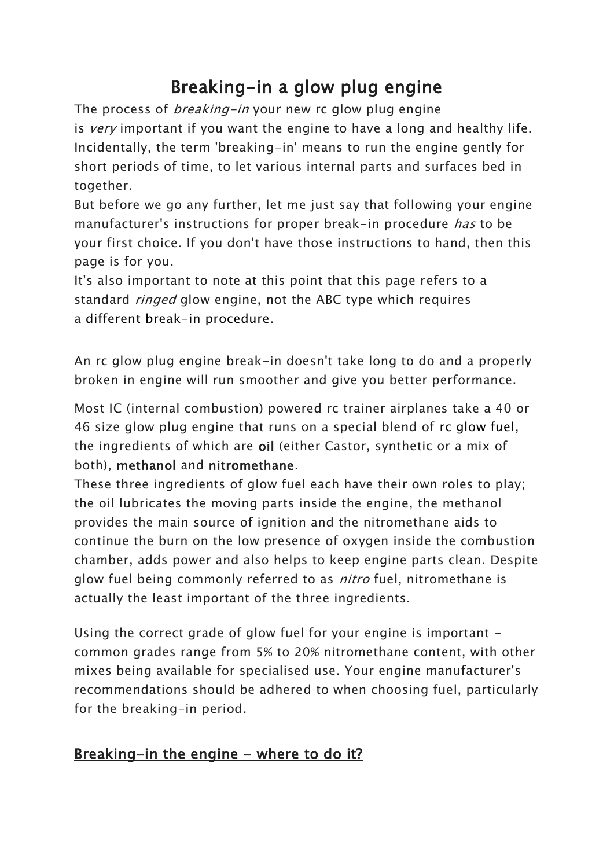# Breaking-in a glow plug engine

The process of *breaking-in* your new rc glow plug engine is very important if you want the engine to have a long and healthy life. Incidentally, the term 'breaking-in' means to run the engine gently for short periods of time, to let various internal parts and surfaces bed in together.

But before we go any further, let me just say that following your engine manufacturer's instructions for proper break-in procedure *has* to be your first choice. If you don't have those instructions to hand, then this page is for you.

It's also important to note at this point that this page refers to a standard *ringed* glow engine, not the ABC type which requires a different break-in procedure.

An rc glow plug engine break-in doesn't take long to do and a properly broken in engine will run smoother and give you better performance.

Most IC (internal combustion) powered rc trainer airplanes take a 40 or 46 size glow plug engine that runs on a special blend of rc glow fuel, the ingredients of which are oil (either Castor, synthetic or a mix of both), methanol and nitromethane.

These three ingredients of glow fuel each have their own roles to play; the oil lubricates the moving parts inside the engine, the methanol provides the main source of ignition and the nitromethane aids to continue the burn on the low presence of oxygen inside the combustion chamber, adds power and also helps to keep engine parts clean. Despite glow fuel being commonly referred to as *nitro* fuel, nitromethane is actually the least important of the three ingredients.

Using the correct grade of glow fuel for your engine is important common grades range from 5% to 20% nitromethane content, with other mixes being available for specialised use. Your engine manufacturer's recommendations should be adhered to when choosing fuel, particularly for the breaking-in period.

## Breaking-in the engine - where to do it?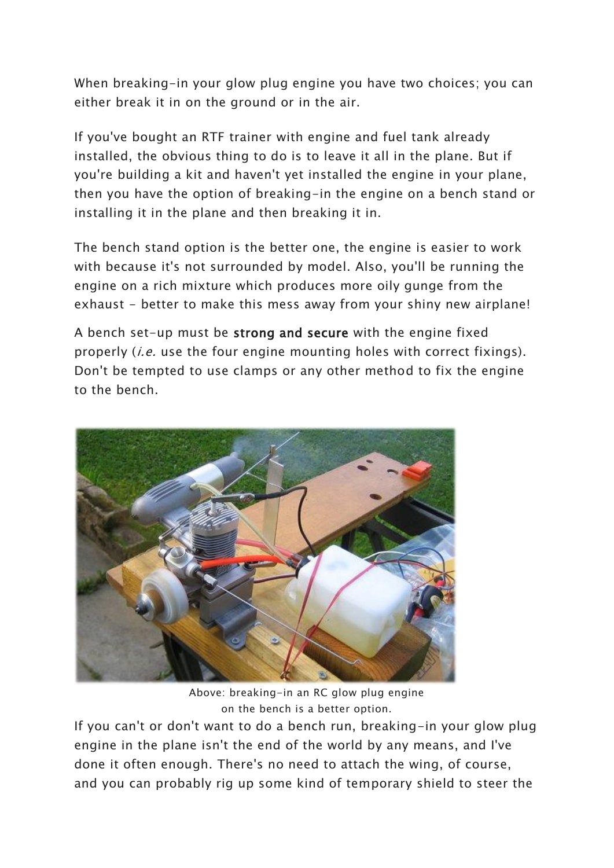When breaking-in your glow plug engine you have two choices; you can either break it in on the ground or in the air.

If you've bought an RTF trainer with engine and fuel tank already installed, the obvious thing to do is to leave it all in the plane. But if you're building a kit and haven't yet installed the engine in your plane, then you have the option of breaking-in the engine on a bench stand or installing it in the plane and then breaking it in.

The bench stand option is the better one, the engine is easier to work with because it's not surrounded by model. Also, you'll be running the engine on a rich mixture which produces more oily gunge from the exhaust - better to make this mess away from your shiny new airplane!

A bench set-up must be strong and secure with the engine fixed properly (*i.e.* use the four engine mounting holes with correct fixings). Don't be tempted to use clamps or any other method to fix the engine to the bench.



Above: breaking-in an RC glow plug engine on the bench is a better option.

If you can't or don't want to do a bench run, breaking-in your glow plug engine in the plane isn't the end of the world by any means, and I've done it often enough. There's no need to attach the wing, of course, and you can probably rig up some kind of temporary shield to steer the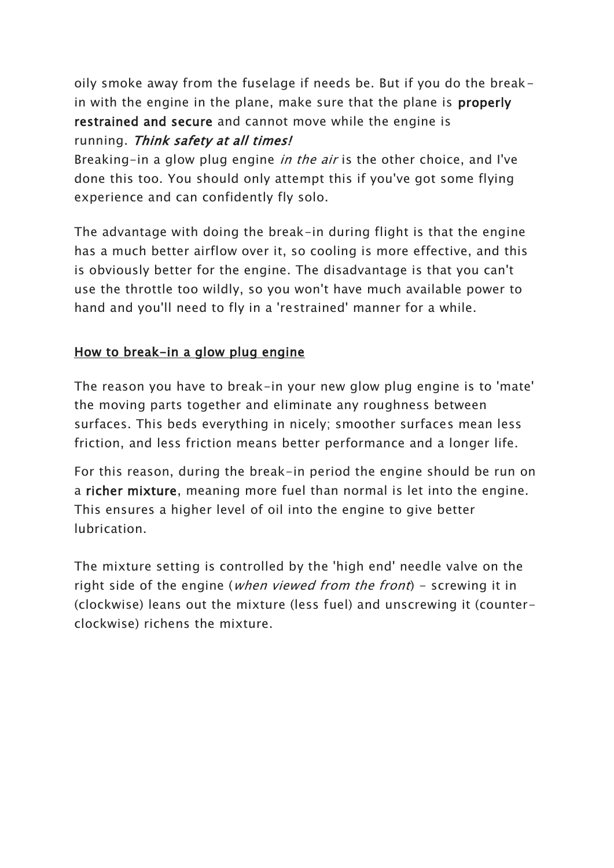oily smoke away from the fuselage if needs be. But if you do the breakin with the engine in the plane, make sure that the plane is properly restrained and secure and cannot move while the engine is running. Think safety at all times!

Breaking-in a glow plug engine *in the air* is the other choice, and I've done this too. You should only attempt this if you've got some flying experience and can confidently fly solo.

The advantage with doing the break-in during flight is that the engine has a much better airflow over it, so cooling is more effective, and this is obviously better for the engine. The disadvantage is that you can't use the throttle too wildly, so you won't have much available power to hand and you'll need to fly in a 'restrained' manner for a while.

#### How to break-in a glow plug engine

The reason you have to break-in your new glow plug engine is to 'mate' the moving parts together and eliminate any roughness between surfaces. This beds everything in nicely; smoother surfaces mean less friction, and less friction means better performance and a longer life.

For this reason, during the break-in period the engine should be run on a richer mixture, meaning more fuel than normal is let into the engine. This ensures a higher level of oil into the engine to give better lubrication.

The mixture setting is controlled by the 'high end' needle valve on the right side of the engine (*when viewed from the front*) - screwing it in (clockwise) leans out the mixture (less fuel) and unscrewing it (counterclockwise) richens the mixture.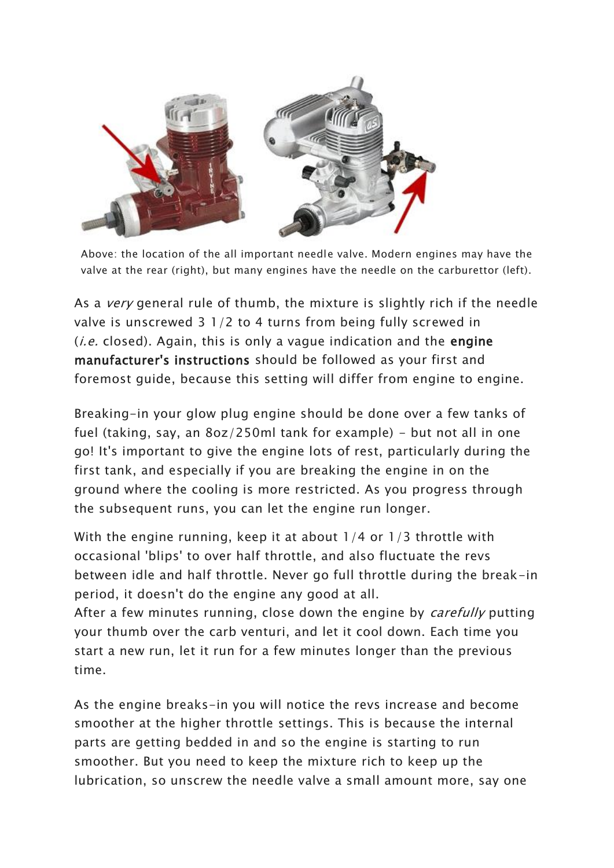

Above: the location of the all important needle valve. Modern engines may have the valve at the rear (right), but many engines have the needle on the carburettor (left).

As a *very* general rule of thumb, the mixture is slightly rich if the needle valve is unscrewed 3 1/2 to 4 turns from being fully screwed in  $(i.e. closed)$ . Again, this is only a vague indication and the engine manufacturer's instructions should be followed as your first and foremost guide, because this setting will differ from engine to engine.

Breaking-in your glow plug engine should be done over a few tanks of fuel (taking, say, an  $8oz/250ml$  tank for example) – but not all in one go! It's important to give the engine lots of rest, particularly during the first tank, and especially if you are breaking the engine in on the ground where the cooling is more restricted. As you progress through the subsequent runs, you can let the engine run longer.

With the engine running, keep it at about 1/4 or 1/3 throttle with occasional 'blips' to over half throttle, and also fluctuate the revs between idle and half throttle. Never go full throttle during the break-in period, it doesn't do the engine any good at all.

After a few minutes running, close down the engine by *carefully* putting your thumb over the carb venturi, and let it cool down. Each time you start a new run, let it run for a few minutes longer than the previous time.

As the engine breaks-in you will notice the revs increase and become smoother at the higher throttle settings. This is because the internal parts are getting bedded in and so the engine is starting to run smoother. But you need to keep the mixture rich to keep up the lubrication, so unscrew the needle valve a small amount more, say one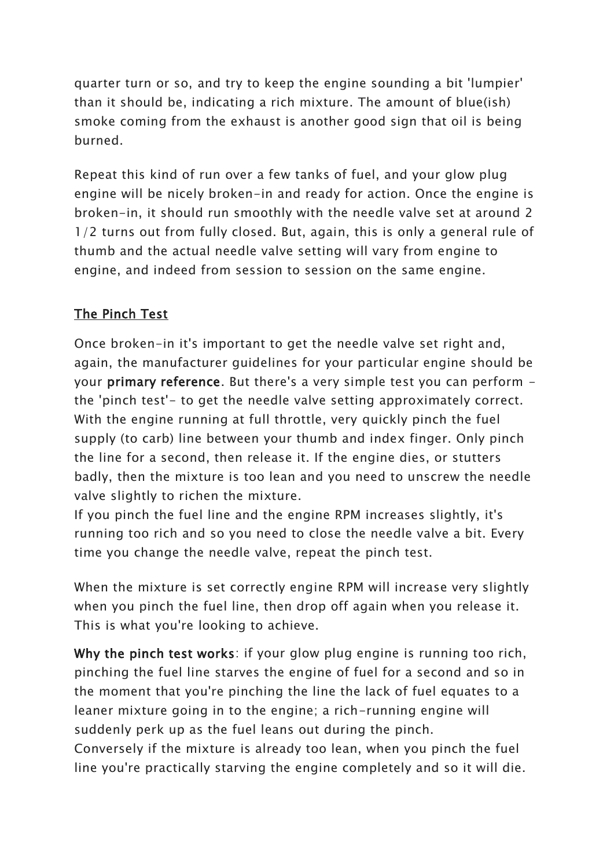quarter turn or so, and try to keep the engine sounding a bit 'lumpier' than it should be, indicating a rich mixture. The amount of blue(ish) smoke coming from the exhaust is another good sign that oil is being burned.

Repeat this kind of run over a few tanks of fuel, and your glow plug engine will be nicely broken-in and ready for action. Once the engine is broken-in, it should run smoothly with the needle valve set at around 2 1/2 turns out from fully closed. But, again, this is only a general rule of thumb and the actual needle valve setting will vary from engine to engine, and indeed from session to session on the same engine.

### The Pinch Test

Once broken-in it's important to get the needle valve set right and, again, the manufacturer guidelines for your particular engine should be your primary reference. But there's a very simple test you can perform the 'pinch test'- to get the needle valve setting approximately correct. With the engine running at full throttle, very quickly pinch the fuel supply (to carb) line between your thumb and index finger. Only pinch the line for a second, then release it. If the engine dies, or stutters badly, then the mixture is too lean and you need to unscrew the needle valve slightly to richen the mixture.

If you pinch the fuel line and the engine RPM increases slightly, it's running too rich and so you need to close the needle valve a bit. Every time you change the needle valve, repeat the pinch test.

When the mixture is set correctly engine RPM will increase very slightly when you pinch the fuel line, then drop off again when you release it. This is what you're looking to achieve.

Why the pinch test works: if your glow plug engine is running too rich, pinching the fuel line starves the engine of fuel for a second and so in the moment that you're pinching the line the lack of fuel equates to a leaner mixture going in to the engine; a rich-running engine will suddenly perk up as the fuel leans out during the pinch. Conversely if the mixture is already too lean, when you pinch the fuel line you're practically starving the engine completely and so it will die.